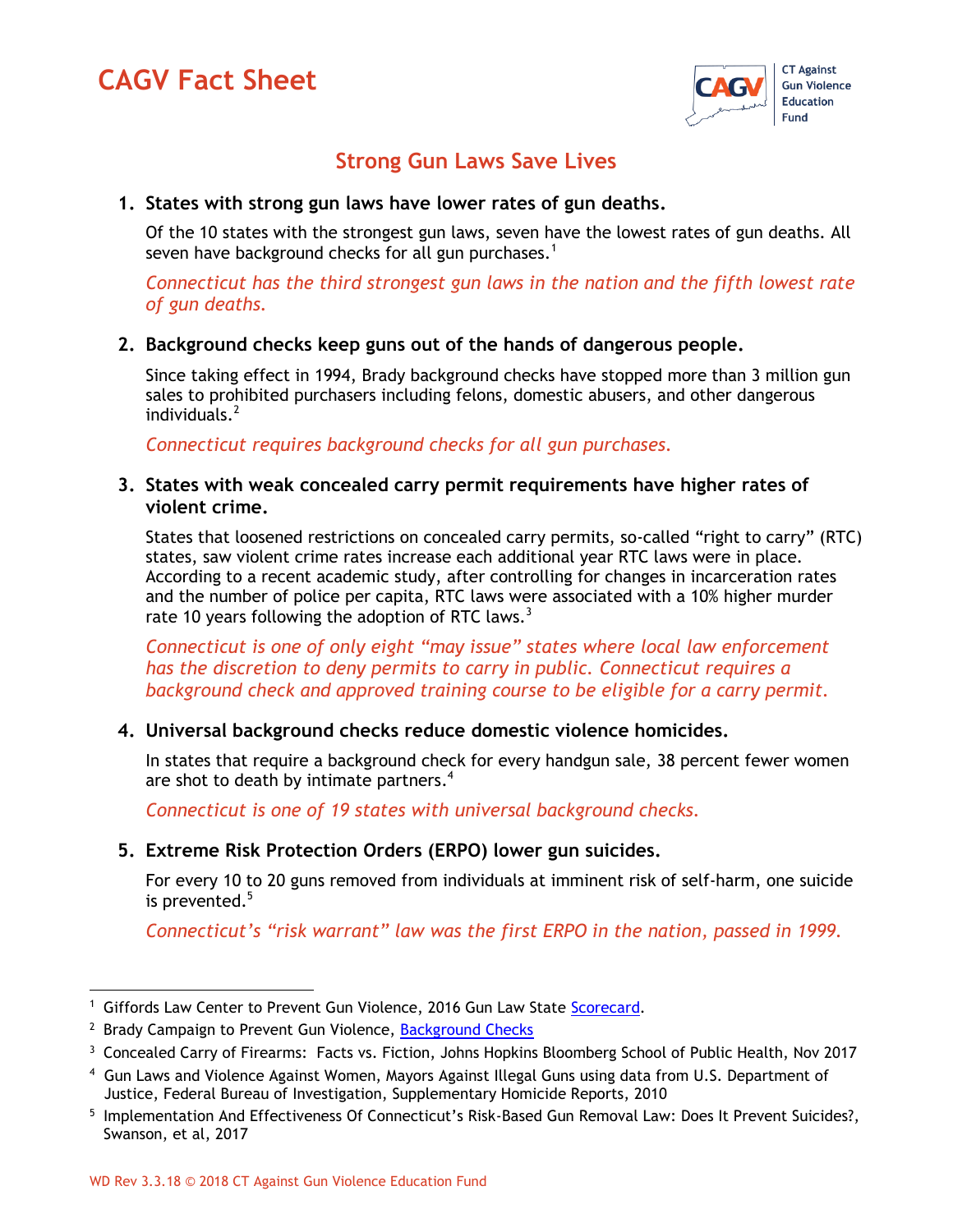# **CAGV Fact Sheet**



# **Strong Gun Laws Save Lives**

#### **1. States with strong gun laws have lower rates of gun deaths.**

Of the 10 states with the strongest gun laws, seven have the lowest rates of gun deaths. All seven have background checks for all gun purchases.<sup>1</sup>

*Connecticut has the third strongest gun laws in the nation and the fifth lowest rate of gun deaths.*

#### **2. Background checks keep guns out of the hands of dangerous people.**

Since taking effect in 1994, Brady background checks have stopped more than 3 million gun sales to prohibited purchasers including felons, domestic abusers, and other dangerous  $individuals.<sup>2</sup>$ 

*Connecticut requires background checks for all gun purchases.*

#### **3. States with weak concealed carry permit requirements have higher rates of violent crime.**

States that loosened restrictions on concealed carry permits, so-called "right to carry" (RTC) states, saw violent crime rates increase each additional year RTC laws were in place. According to a recent academic study, after controlling for changes in incarceration rates and the number of police per capita, RTC laws were associated with a 10% higher murder rate 10 years following the adoption of RTC laws.<sup>3</sup>

*Connecticut is one of only eight "may issue" states where local law enforcement has the discretion to deny permits to carry in public. Connecticut requires a background check and approved training course to be eligible for a carry permit.* 

#### **4. Universal background checks reduce domestic violence homicides.**

In states that require a background check for every handgun sale, 38 percent fewer women are shot to death by intimate partners.<sup>4</sup>

*Connecticut is one of 19 states with universal background checks.* 

#### **5. Extreme Risk Protection Orders (ERPO) lower gun suicides.**

For every 10 to 20 guns removed from individuals at imminent risk of self-harm, one suicide is prevented.<sup>5</sup>

*Connecticut's "risk warrant" law was the first ERPO in the nation, passed in 1999.*

<sup>&</sup>lt;sup>1</sup> Giffords Law Center to Prevent Gun Violence, 2016 Gun Law State [Scorecard.](http://lawcenter.giffords.org/scorecard2016/#analysis)

<sup>&</sup>lt;sup>2</sup> Brady Campaign to Prevent Gun Violence, [Background Checks](http://www.bradycampaign.org/our-impact/campaigns/background-checks)

<sup>&</sup>lt;sup>3</sup> Concealed Carry of Firearms: Facts vs. Fiction, Johns Hopkins Bloomberg School of Public Health, Nov 2017

<sup>4</sup> Gun Laws and Violence Against Women, Mayors Against Illegal Guns using data from U.S. Department of Justice, Federal Bureau of Investigation, Supplementary Homicide Reports, 2010

<sup>&</sup>lt;sup>5</sup> Implementation And Effectiveness Of Connecticut's Risk-Based Gun Removal Law: Does It Prevent Suicides?, Swanson, et al, 2017